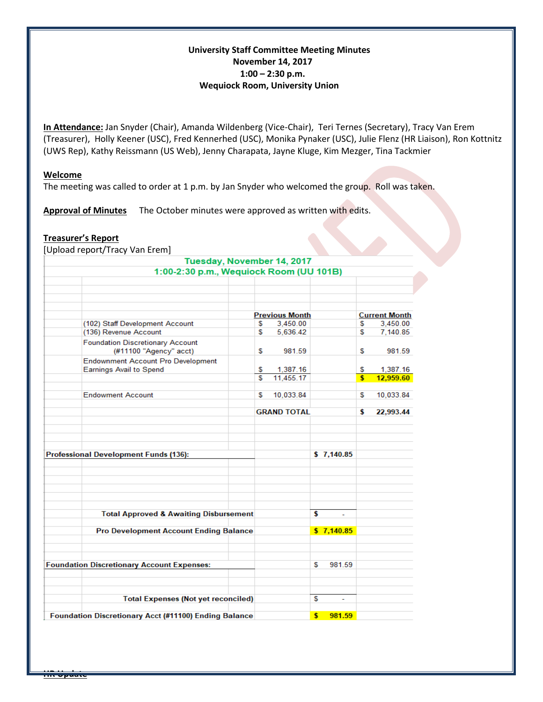# **University Staff Committee Meeting Minutes November 14, 2017 1:00 – 2:30 p.m. Wequiock Room, University Union**

**In Attendance:** Jan Snyder (Chair), Amanda Wildenberg (Vice-Chair), Teri Ternes (Secretary), Tracy Van Erem (Treasurer), Holly Keener (USC), Fred Kennerhed (USC), Monika Pynaker (USC), Julie Flenz (HR Liaison), Ron Kottnitz (UWS Rep), Kathy Reissmann (US Web), Jenny Charapata, Jayne Kluge, Kim Mezger, Tina Tackmier

#### **Welcome**

The meeting was called to order at 1 p.m. by Jan Snyder who welcomed the group. Roll was taken.

**Approval of Minutes** The October minutes were approved as written with edits.

## **Treasurer's Report**

[Upload report/Tracy Van Erem]

#### Tuesday, November 14, 2017 1:00-2:30 p.m., Wequiock Room (UU 101B) **Previous Month Current Month** (102) Staff Development Account 3,450.00 3,450.00 S S (136) Revenue Account \$ 5,636.42 \$ 7,140.85 **Foundation Discretionary Account** (#11100 "Agency" acct) 981.59 \$ 981.59 S **Endownment Account Pro Development Earnings Avail to Spend** Ś. 1,387.16 \$. 1,387.16  $\overline{\mathbb{S}}$ 12,959.60 11,455.17 \$ **Endowment Account** \$10,033.84 \$ 10,033.84 **GRAND TOTAL** \$ 22,993.44 **Professional Development Funds (136):**  $$7,140.85$ **Total Approved & Awaiting Disbursement** ¢  $$7,140.85$ **Pro Development Account Ending Balance Foundation Discretionary Account Expenses:** 981.59 S **Total Expenses (Not yet reconciled)** S  $$981.59$

Foundation Discretionary Acct (#11100) Ending Balance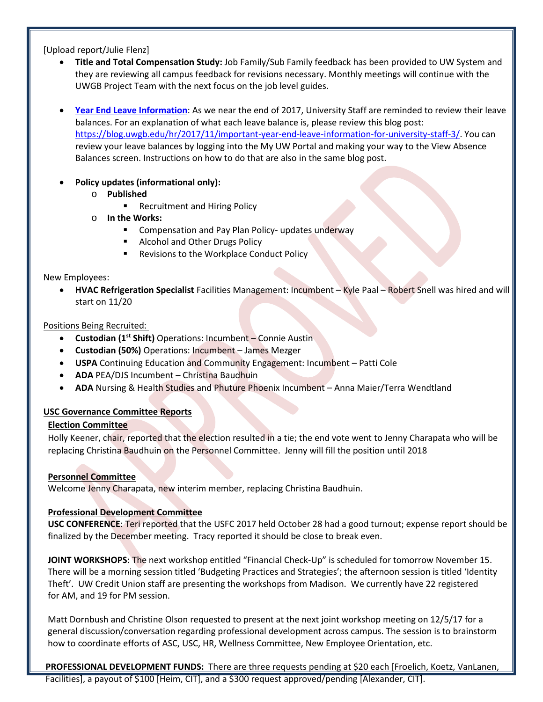[Upload report/Julie Flenz]

- **Title and Total Compensation Study:** Job Family/Sub Family feedback has been provided to UW System and they are reviewing all campus feedback for revisions necessary. Monthly meetings will continue with the UWGB Project Team with the next focus on the job level guides.
- **[Year End Leave Information](https://blog.uwgb.edu/hr/2017/11/important-year-end-leave-information-for-university-staff-3/)**: As we near the end of 2017, University Staff are reminded to review their leave balances. For an explanation of what each leave balance is, please review this blog post: [https://blog.uwgb.edu/hr/2017/11/important-year-end-leave-information-for-university-staff-3/.](https://blog.uwgb.edu/hr/2017/11/important-year-end-leave-information-for-university-staff-3/) You can review your leave balances by logging into the My UW Portal and making your way to the View Absence Balances screen. Instructions on how to do that are also in the same blog post.
- **Policy updates (informational only):** 
	- o **Published**
		- Recruitment and Hiring Policy
	- o **In the Works:**
		- **EXTERGHTM** Compensation and Pay Plan Policy- updates underway
		- **Alcohol and Other Drugs Policy**
		- **Revisions to the Workplace Conduct Policy**

#### New Employees:

• **HVAC Refrigeration Specialist** Facilities Management: Incumbent – Kyle Paal – Robert Snell was hired and will start on 11/20

## Positions Being Recruited:

- **Custodian (1st Shift)** Operations: Incumbent Connie Austin
- **Custodian (50%)** Operations: Incumbent James Mezger
- **USPA** Continuing Education and Community Engagement: Incumbent Patti Cole
- **ADA** PEA/DJS Incumbent Christina Baudhuin
- **ADA** Nursing & Health Studies and Phuture Phoenix Incumbent Anna Maier/Terra Wendtland

## **USC Governance Committee Reports**

## **Election Committee**

Holly Keener, chair, reported that the election resulted in a tie; the end vote went to Jenny Charapata who will be replacing Christina Baudhuin on the Personnel Committee. Jenny will fill the position until 2018

## **Personnel Committee**

Welcome Jenny Charapata, new interim member, replacing Christina Baudhuin.

## **Professional Development Committee**

**USC CONFERENCE**: Teri reported that the USFC 2017 held October 28 had a good turnout; expense report should be finalized by the December meeting. Tracy reported it should be close to break even.

 **JOINT WORKSHOPS**: The next workshop entitled "Financial Check-Up" is scheduled for tomorrow November 15. There will be a morning session titled 'Budgeting Practices and Strategies'; the afternoon session is titled 'Identity Theft'. UW Credit Union staff are presenting the workshops from Madison. We currently have 22 registered for AM, and 19 for PM session.

 Matt Dornbush and Christine Olson requested to present at the next joint workshop meeting on 12/5/17 for a general discussion/conversation regarding professional development across campus. The session is to brainstorm how to coordinate efforts of ASC, USC, HR, Wellness Committee, New Employee Orientation, etc.

**PROFESSIONAL DEVELOPMENT FUNDS:** There are three requests pending at \$20 each [Froelich, Koetz, VanLanen,

Facilities], a payout of \$100 [Heim, CIT], and a \$300 request approved/pending [Alexander, CIT].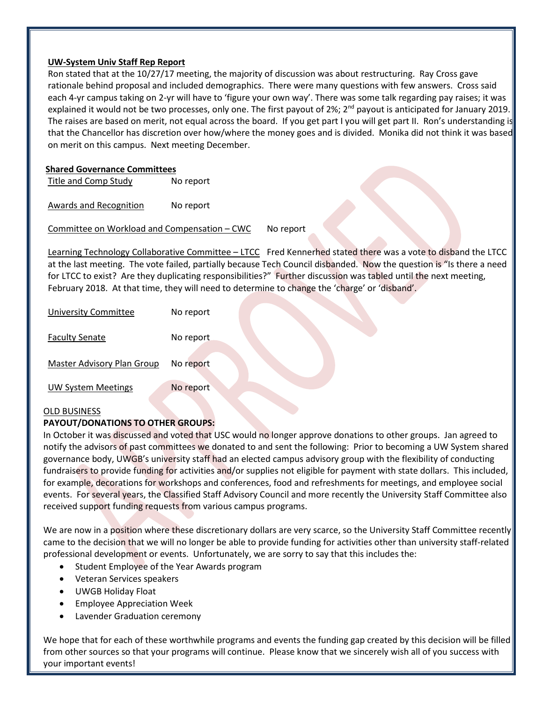## **UW-System Univ Staff Rep Report**

Ron stated that at the 10/27/17 meeting, the majority of discussion was about restructuring. Ray Cross gave rationale behind proposal and included demographics. There were many questions with few answers. Cross said each 4-yr campus taking on 2-yr will have to 'figure your own way'. There was some talk regarding pay raises; it was explained it would not be two processes, only one. The first payout of 2%; 2<sup>nd</sup> payout is anticipated for January 2019. The raises are based on merit, not equal across the board. If you get part I you will get part II. Ron's understanding is that the Chancellor has discretion over how/where the money goes and is divided. Monika did not think it was based on merit on this campus. Next meeting December.

## **Shared Governance Committees**

Title and Comp Study No report

Awards and Recognition No report

Committee on Workload and Compensation – CWC No report

Learning Technology Collaborative Committee – LTCC Fred Kennerhed stated there was a vote to disband the LTCC at the last meeting. The vote failed, partially because Tech Council disbanded. Now the question is "Is there a need for LTCC to exist? Are they duplicating responsibilities?" Further discussion was tabled until the next meeting, February 2018. At that time, they will need to determine to change the 'charge' or 'disband'.

| <b>University Committee</b> | No report |
|-----------------------------|-----------|
| <b>Faculty Senate</b>       | No report |
| Master Advisory Plan Group  | No report |
| UW System Meetings          | No report |

#### OLD BUSINESS

## **PAYOUT/DONATIONS TO OTHER GROUPS:**

In October it was discussed and voted that USC would no longer approve donations to other groups. Jan agreed to notify the advisors of past committees we donated to and sent the following: Prior to becoming a UW System shared governance body, UWGB's university staff had an elected campus advisory group with the flexibility of conducting fundraisers to provide funding for activities and/or supplies not eligible for payment with state dollars. This included, for example, decorations for workshops and conferences, food and refreshments for meetings, and employee social events. For several years, the Classified Staff Advisory Council and more recently the University Staff Committee also received support funding requests from various campus programs.

We are now in a position where these discretionary dollars are very scarce, so the University Staff Committee recently came to the decision that we will no longer be able to provide funding for activities other than university staff-related professional development or events. Unfortunately, we are sorry to say that this includes the:

- Student Employee of the Year Awards program
- Veteran Services speakers
- UWGB Holiday Float
- Employee Appreciation Week
- Lavender Graduation ceremony

We hope that for each of these worthwhile programs and events the funding gap created by this decision will be filled from other sources so that your programs will continue. Please know that we sincerely wish all of you success with your important events!